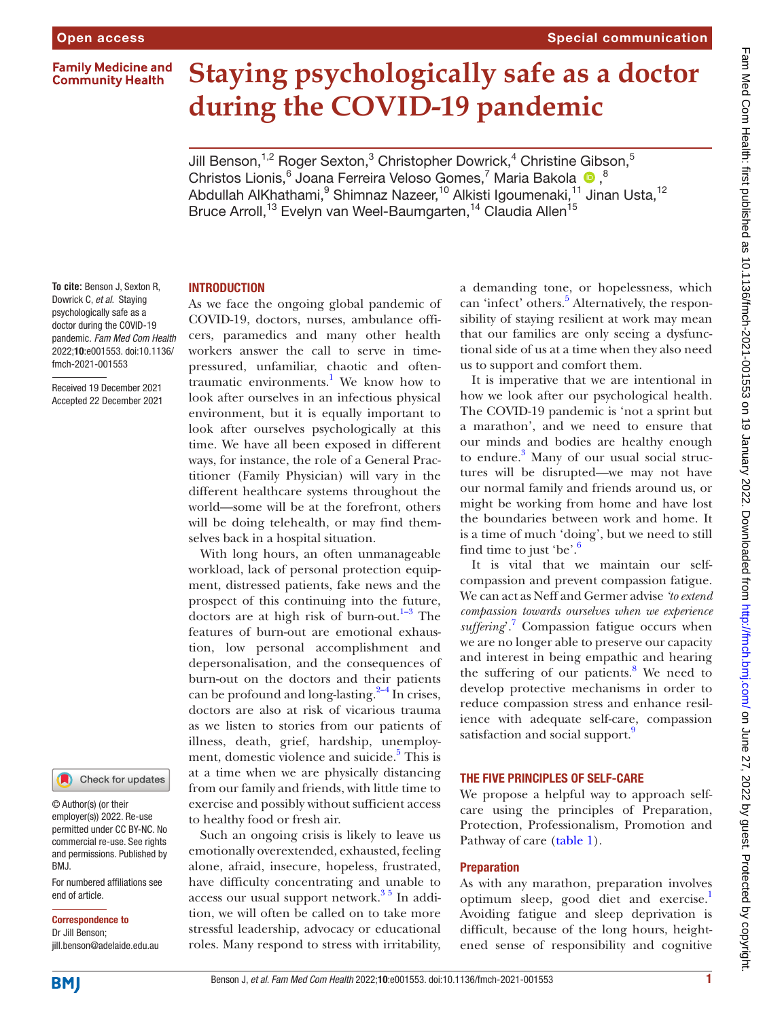**Family Medicine and Community Health** 



# **Staying psychologically safe as a doctor during the COVID-19 pandemic**

Jill Benson, $^{1,2}$  Roger Sexton, $^3$  Christopher Dowrick, $^4$  Christine Gibson, $^5$ ChristosLionis, <sup>6</sup> Joana Ferreira Veloso Gomes, <sup>7</sup> Maria Bakola <sup>10</sup>, <sup>8</sup> Abdullah AlKhathami, $^9$  Shimnaz Nazeer,<sup>10</sup> Alkisti Igoumenaki,<sup>11</sup> Jinan Usta,<sup>12</sup> Bruce Arroll,<sup>13</sup> Evelyn van Weel-Baumgarten,<sup>14</sup> Claudia Allen<sup>15</sup>

# **INTRODUCTION**

**To cite:** Benson J, Sexton R, Dowrick C, *et al*. Staying psychologically safe as a doctor during the COVID-19 pandemic. *Fam Med Com Health* 2022;10:e001553. doi:10.1136/ fmch-2021-001553

Received 19 December 2021 Accepted 22 December 2021



#### © Author(s) (or their employer(s)) 2022. Re-use permitted under CC BY-NC. No commercial re-use. See rights and permissions. Published by BMJ.

For numbered affiliations see end of article.

#### Correspondence to

Dr Jill Benson; jill.benson@adelaide.edu.au As we face the ongoing global pandemic of COVID-19, doctors, nurses, ambulance officers, paramedics and many other health workers answer the call to serve in timepressured, unfamiliar, chaotic and often-traumatic environments.<sup>[1](#page-4-0)</sup> We know how to look after ourselves in an infectious physical environment, but it is equally important to look after ourselves psychologically at this time. We have all been exposed in different ways, for instance, the role of a General Practitioner (Family Physician) will vary in the different healthcare systems throughout the world—some will be at the forefront, others will be doing telehealth, or may find themselves back in a hospital situation.

With long hours, an often unmanageable workload, lack of personal protection equipment, distressed patients, fake news and the prospect of this continuing into the future, doctors are at high risk of burn-out.<sup>1–3</sup> The features of burn-out are emotional exhaustion, low personal accomplishment and depersonalisation, and the consequences of burn-out on the doctors and their patients can be profound and long-lasting. $2-4$  In crises, doctors are also at risk of vicarious trauma as we listen to stories from our patients of illness, death, grief, hardship, unemploy-ment, domestic violence and suicide.<sup>[5](#page-4-2)</sup> This is at a time when we are physically distancing from our family and friends, with little time to exercise and possibly without sufficient access to healthy food or fresh air.

Such an ongoing crisis is likely to leave us emotionally overextended, exhausted, feeling alone, afraid, insecure, hopeless, frustrated, have difficulty concentrating and unable to access our usual support network.<sup>35</sup> In addition, we will often be called on to take more stressful leadership, advocacy or educational roles. Many respond to stress with irritability,

a demanding tone, or hopelessness, which can 'infect' others.<sup>5</sup> Alternatively, the responsibility of staying resilient at work may mean that our families are only seeing a dysfunctional side of us at a time when they also need us to support and comfort them.

It is imperative that we are intentional in how we look after our psychological health. The COVID-19 pandemic is 'not a sprint but a marathon', and we need to ensure that our minds and bodies are healthy enough to endure.<sup>[3](#page-4-3)</sup> Many of our usual social structures will be disrupted—we may not have our normal family and friends around us, or might be working from home and have lost the boundaries between work and home. It is a time of much 'doing', but we need to still find time to just 'be'. $6$ 

It is vital that we maintain our selfcompassion and prevent compassion fatigue. We can act as Neff and Germer advise *'to extend compassion towards ourselves when we experience*  suffering'.<sup>7</sup> Compassion fatigue occurs when we are no longer able to preserve our capacity and interest in being empathic and hearing the suffering of our patients.<sup>8</sup> We need to develop protective mechanisms in order to reduce compassion stress and enhance resilience with adequate self-care, compassion satisfaction and social support.<sup>[9](#page-4-7)</sup>

#### THE FIVE PRINCIPLES OF SELF-CARE

We propose a helpful way to approach selfcare using the principles of Preparation, Protection, Professionalism, Promotion and Pathway of care ([table](#page-1-0) 1).

#### Preparation

As with any marathon, preparation involves optimum sleep, good diet and exercise. Avoiding fatigue and sleep deprivation is difficult, because of the long hours, heightened sense of responsibility and cognitive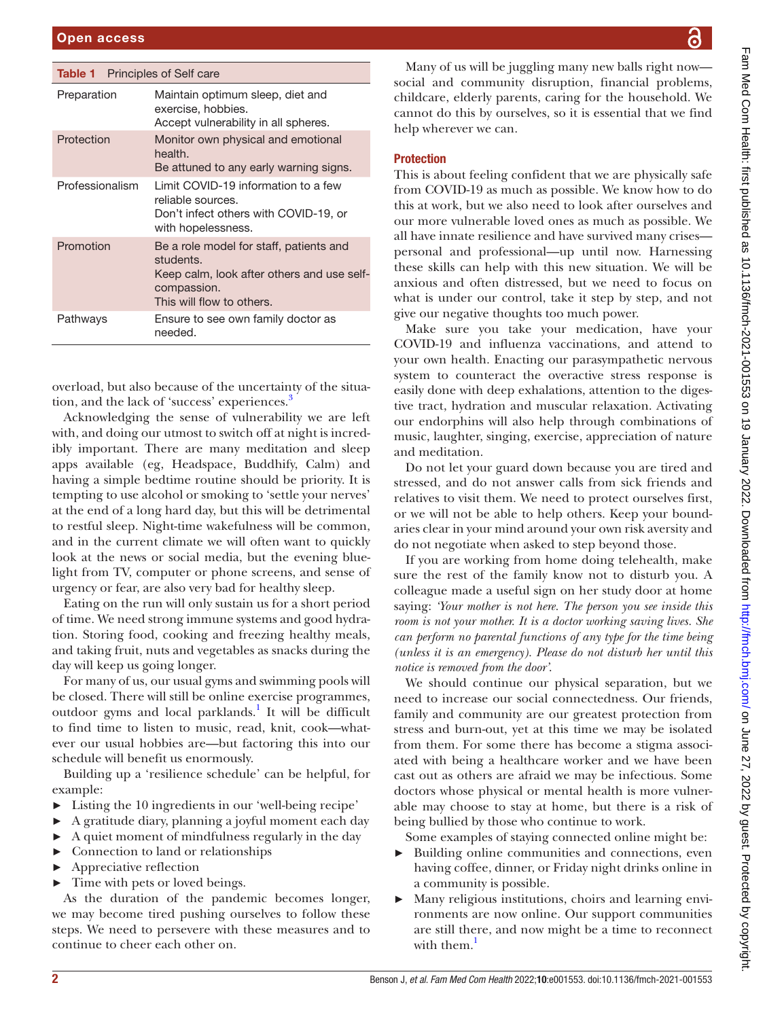<span id="page-1-0"></span>

| <b>Table 1</b> Principles of Self care |                                                                                                                                                |  |
|----------------------------------------|------------------------------------------------------------------------------------------------------------------------------------------------|--|
| Preparation                            | Maintain optimum sleep, diet and<br>exercise, hobbies.<br>Accept vulnerability in all spheres.                                                 |  |
| Protection                             | Monitor own physical and emotional<br>health.<br>Be attuned to any early warning signs.                                                        |  |
| Professionalism                        | Limit COVID-19 information to a few<br>reliable sources.<br>Don't infect others with COVID-19, or<br>with hopelessness.                        |  |
| Promotion                              | Be a role model for staff, patients and<br>students.<br>Keep calm, look after others and use self-<br>compassion.<br>This will flow to others. |  |
| Pathways                               | Ensure to see own family doctor as<br>needed.                                                                                                  |  |
|                                        |                                                                                                                                                |  |

overload, but also because of the uncertainty of the situa-tion, and the lack of 'success' experiences.<sup>[3](#page-4-3)</sup>

Acknowledging the sense of vulnerability we are left with, and doing our utmost to switch off at night is incredibly important. There are many meditation and sleep apps available (eg, Headspace, Buddhify, Calm) and having a simple bedtime routine should be priority. It is tempting to use alcohol or smoking to 'settle your nerves' at the end of a long hard day, but this will be detrimental to restful sleep. Night-time wakefulness will be common, and in the current climate we will often want to quickly look at the news or social media, but the evening bluelight from TV, computer or phone screens, and sense of urgency or fear, are also very bad for healthy sleep.

Eating on the run will only sustain us for a short period of time. We need strong immune systems and good hydration. Storing food, cooking and freezing healthy meals, and taking fruit, nuts and vegetables as snacks during the day will keep us going longer.

For many of us, our usual gyms and swimming pools will be closed. There will still be online exercise programmes, outdoor gyms and local parklands.<sup>1</sup> It will be difficult to find time to listen to music, read, knit, cook—whatever our usual hobbies are—but factoring this into our schedule will benefit us enormously.

Building up a 'resilience schedule' can be helpful, for example:

- Listing the 10 ingredients in our 'well-being recipe'
- ► A gratitude diary, planning a joyful moment each day
- ► A quiet moment of mindfulness regularly in the day
- ► Connection to land or relationships
- Appreciative reflection
- Time with pets or loved beings.

As the duration of the pandemic becomes longer, we may become tired pushing ourselves to follow these steps. We need to persevere with these measures and to continue to cheer each other on.

Many of us will be juggling many new balls right now social and community disruption, financial problems, childcare, elderly parents, caring for the household. We cannot do this by ourselves, so it is essential that we find help wherever we can.

## **Protection**

This is about feeling confident that we are physically safe from COVID-19 as much as possible. We know how to do this at work, but we also need to look after ourselves and our more vulnerable loved ones as much as possible. We all have innate resilience and have survived many crises personal and professional—up until now. Harnessing these skills can help with this new situation. We will be anxious and often distressed, but we need to focus on what is under our control, take it step by step, and not give our negative thoughts too much power.

Make sure you take your medication, have your COVID-19 and influenza vaccinations, and attend to your own health. Enacting our parasympathetic nervous system to counteract the overactive stress response is easily done with deep exhalations, attention to the digestive tract, hydration and muscular relaxation. Activating our endorphins will also help through combinations of music, laughter, singing, exercise, appreciation of nature and meditation.

Do not let your guard down because you are tired and stressed, and do not answer calls from sick friends and relatives to visit them. We need to protect ourselves first, or we will not be able to help others. Keep your boundaries clear in your mind around your own risk aversity and do not negotiate when asked to step beyond those.

If you are working from home doing telehealth, make sure the rest of the family know not to disturb you. A colleague made a useful sign on her study door at home saying: *'Your mother is not here. The person you see inside this room is not your mother. It is a doctor working saving lives. She can perform no parental functions of any type for the time being (unless it is an emergency). Please do not disturb her until this notice is removed from the door'*.

We should continue our physical separation, but we need to increase our social connectedness. Our friends, family and community are our greatest protection from stress and burn-out, yet at this time we may be isolated from them. For some there has become a stigma associated with being a healthcare worker and we have been cast out as others are afraid we may be infectious. Some doctors whose physical or mental health is more vulnerable may choose to stay at home, but there is a risk of being bullied by those who continue to work.

Some examples of staying connected online might be:

- Building online communities and connections, even having coffee, dinner, or Friday night drinks online in a community is possible.
- ► Many religious institutions, choirs and learning environments are now online. Our support communities are still there, and now might be a time to reconnect with them.<sup>[1](#page-4-0)</sup>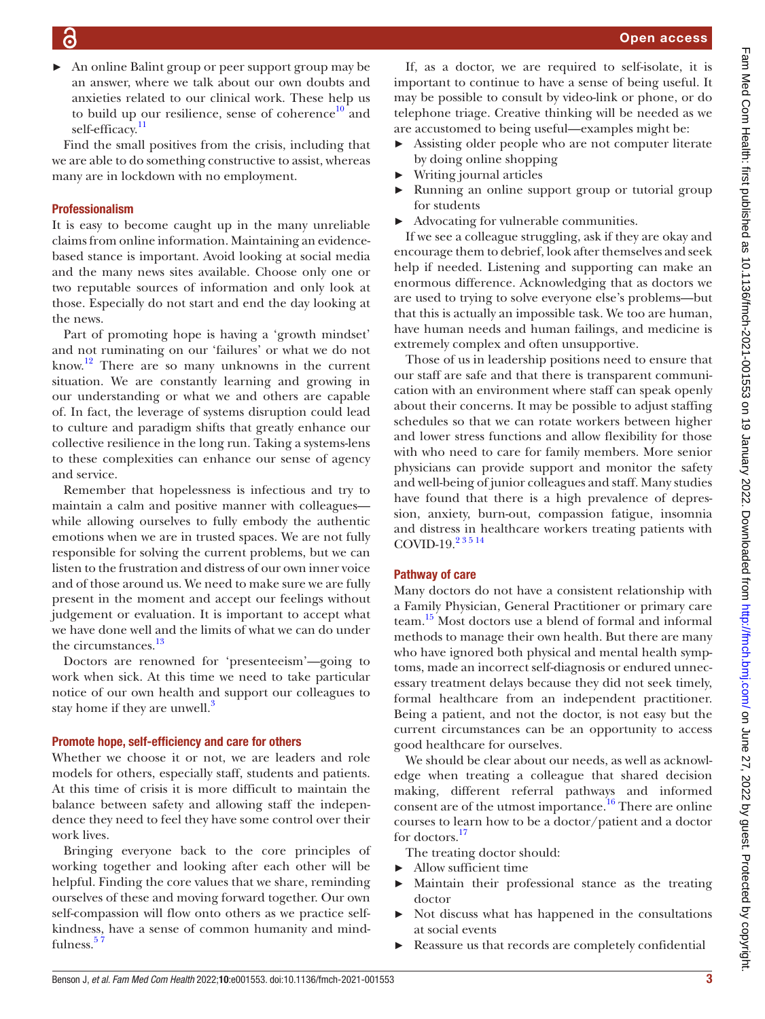► An online Balint group or peer support group may be an answer, where we talk about our own doubts and anxieties related to our clinical work. These help us to build up our resilience, sense of coherence $10$  and self-efficacy.<sup>11</sup>

Find the small positives from the crisis, including that we are able to do something constructive to assist, whereas many are in lockdown with no employment.

### Professionalism

It is easy to become caught up in the many unreliable claims from online information. Maintaining an evidencebased stance is important. Avoid looking at social media and the many news sites available. Choose only one or two reputable sources of information and only look at those. Especially do not start and end the day looking at the news.

Part of promoting hope is having a 'growth mindset' and not ruminating on our 'failures' or what we do not know.[12](#page-4-10) There are so many unknowns in the current situation. We are constantly learning and growing in our understanding or what we and others are capable of. In fact, the leverage of systems disruption could lead to culture and paradigm shifts that greatly enhance our collective resilience in the long run. Taking a systems-lens to these complexities can enhance our sense of agency and service.

Remember that hopelessness is infectious and try to maintain a calm and positive manner with colleagues while allowing ourselves to fully embody the authentic emotions when we are in trusted spaces. We are not fully responsible for solving the current problems, but we can listen to the frustration and distress of our own inner voice and of those around us. We need to make sure we are fully present in the moment and accept our feelings without judgement or evaluation. It is important to accept what we have done well and the limits of what we can do under the circumstances.<sup>13</sup>

Doctors are renowned for 'presenteeism'—going to work when sick. At this time we need to take particular notice of our own health and support our colleagues to stay home if they are unwell.<sup>3</sup>

#### Promote hope, self-efficiency and care for others

Whether we choose it or not, we are leaders and role models for others, especially staff, students and patients. At this time of crisis it is more difficult to maintain the balance between safety and allowing staff the independence they need to feel they have some control over their work lives.

Bringing everyone back to the core principles of working together and looking after each other will be helpful. Finding the core values that we share, reminding ourselves of these and moving forward together. Our own self-compassion will flow onto others as we practice selfkindness, have a sense of common humanity and mindfulness.<sup>57</sup>

If, as a doctor, we are required to self-isolate, it is important to continue to have a sense of being useful. It may be possible to consult by video-link or phone, or do telephone triage. Creative thinking will be needed as we are accustomed to being useful—examples might be:

- ► Assisting older people who are not computer literate by doing online shopping
- ► Writing journal articles
- Running an online support group or tutorial group for students
- ► Advocating for vulnerable communities.

If we see a colleague struggling, ask if they are okay and encourage them to debrief, look after themselves and seek help if needed. Listening and supporting can make an enormous difference. Acknowledging that as doctors we are used to trying to solve everyone else's problems—but that this is actually an impossible task. We too are human, have human needs and human failings, and medicine is extremely complex and often unsupportive.

Those of us in leadership positions need to ensure that our staff are safe and that there is transparent communication with an environment where staff can speak openly about their concerns. It may be possible to adjust staffing schedules so that we can rotate workers between higher and lower stress functions and allow flexibility for those with who need to care for family members. More senior physicians can provide support and monitor the safety and well-being of junior colleagues and staff. Many studies have found that there is a high prevalence of depression, anxiety, burn-out, compassion fatigue, insomnia and distress in healthcare workers treating patients with COVID-19.<sup>23514</sup>

## Pathway of care

Many doctors do not have a consistent relationship with a Family Physician, General Practitioner or primary care team[.15](#page-4-12) Most doctors use a blend of formal and informal methods to manage their own health. But there are many who have ignored both physical and mental health symptoms, made an incorrect self-diagnosis or endured unnecessary treatment delays because they did not seek timely, formal healthcare from an independent practitioner. Being a patient, and not the doctor, is not easy but the current circumstances can be an opportunity to access good healthcare for ourselves.

We should be clear about our needs, as well as acknowledge when treating a colleague that shared decision making, different referral pathways and informed consent are of the utmost importance.<sup>[16](#page-4-13)</sup> There are online courses to learn how to be a doctor/patient and a doctor for doctors.<sup>[17](#page-4-14)</sup>

- The treating doctor should:
- ► Allow sufficient time
- ► Maintain their professional stance as the treating doctor
- ► Not discuss what has happened in the consultations at social events
- Reassure us that records are completely confidential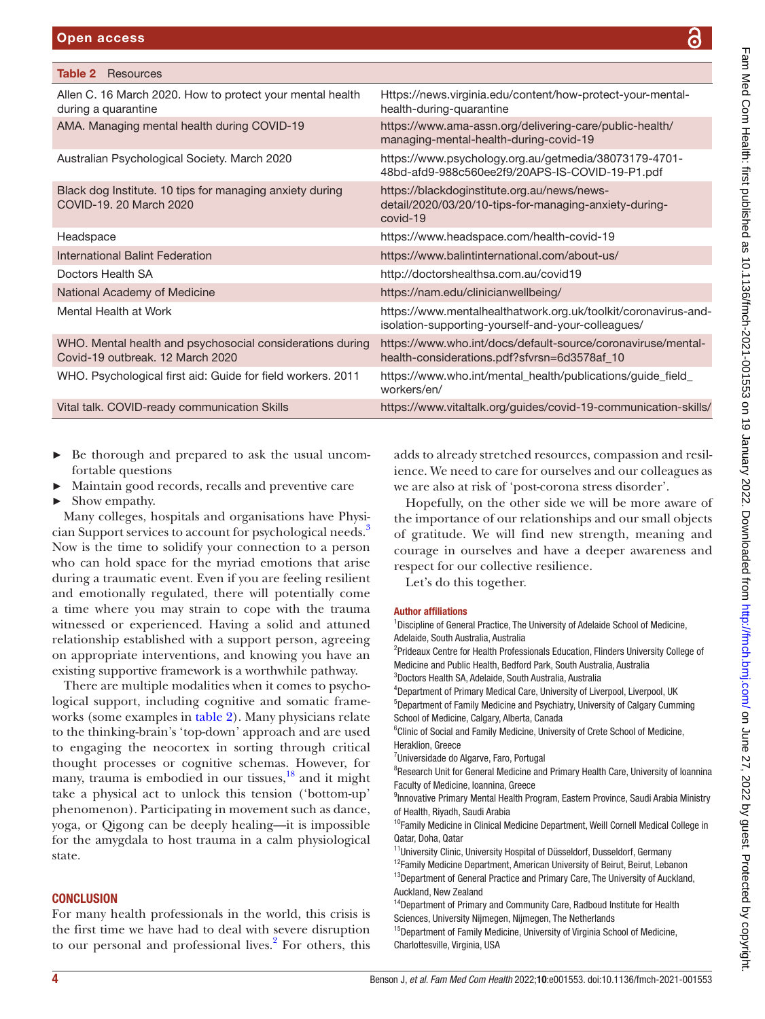<span id="page-3-0"></span>

| Table 2<br>Resources                                                                          |                                                                                                                      |
|-----------------------------------------------------------------------------------------------|----------------------------------------------------------------------------------------------------------------------|
| Allen C. 16 March 2020. How to protect your mental health<br>during a quarantine              | Https://news.virginia.edu/content/how-protect-your-mental-<br>health-during-quarantine                               |
| AMA. Managing mental health during COVID-19                                                   | https://www.ama-assn.org/delivering-care/public-health/<br>managing-mental-health-during-covid-19                    |
| Australian Psychological Society. March 2020                                                  | https://www.psychology.org.au/getmedia/38073179-4701-<br>48bd-afd9-988c560ee2f9/20APS-IS-COVID-19-P1.pdf             |
| Black dog Institute. 10 tips for managing anxiety during<br>COVID-19, 20 March 2020           | https://blackdoginstitute.org.au/news/news-<br>detail/2020/03/20/10-tips-for-managing-anxiety-during-<br>covid-19    |
| Headspace                                                                                     | https://www.headspace.com/health-covid-19                                                                            |
| International Balint Federation                                                               | https://www.balintinternational.com/about-us/                                                                        |
| Doctors Health SA                                                                             | http://doctorshealthsa.com.au/covid19                                                                                |
| National Academy of Medicine                                                                  | https://nam.edu/clinicianwellbeing/                                                                                  |
| Mental Health at Work                                                                         | https://www.mentalhealthatwork.org.uk/toolkit/coronavirus-and-<br>isolation-supporting-yourself-and-your-colleagues/ |
| WHO. Mental health and psychosocial considerations during<br>Covid-19 outbreak, 12 March 2020 | https://www.who.int/docs/default-source/coronaviruse/mental-<br>health-considerations.pdf?sfvrsn=6d3578af_10         |
| WHO. Psychological first aid: Guide for field workers. 2011                                   | https://www.who.int/mental_health/publications/guide_field_<br>workers/en/                                           |
| Vital talk. COVID-ready communication Skills                                                  | https://www.vitaltalk.org/guides/covid-19-communication-skills/                                                      |
|                                                                                               |                                                                                                                      |

- ► Be thorough and prepared to ask the usual uncomfortable questions
- Maintain good records, recalls and preventive care
- ► Show empathy.

Many colleges, hospitals and organisations have Physi-cian Support services to account for psychological needs.<sup>[3](#page-4-3)</sup> Now is the time to solidify your connection to a person who can hold space for the myriad emotions that arise during a traumatic event. Even if you are feeling resilient and emotionally regulated, there will potentially come a time where you may strain to cope with the trauma witnessed or experienced. Having a solid and attuned relationship established with a support person, agreeing on appropriate interventions, and knowing you have an existing supportive framework is a worthwhile pathway.

There are multiple modalities when it comes to psychological support, including cognitive and somatic frameworks (some examples in [table](#page-3-0) 2). Many physicians relate to the thinking-brain's 'top-down' approach and are used to engaging the neocortex in sorting through critical thought processes or cognitive schemas. However, for many, trauma is embodied in our tissues, $^{18}$  and it might take a physical act to unlock this tension ('bottom-up' phenomenon). Participating in movement such as dance, yoga, or Qigong can be deeply healing—it is impossible for the amygdala to host trauma in a calm physiological state.

# **CONCLUSION**

For many health professionals in the world, this crisis is the first time we have had to deal with severe disruption to our personal and professional lives.<sup>2</sup> For others, this

adds to already stretched resources, compassion and resilience. We need to care for ourselves and our colleagues as we are also at risk of 'post-corona stress disorder'.

Hopefully, on the other side we will be more aware of the importance of our relationships and our small objects of gratitude. We will find new strength, meaning and courage in ourselves and have a deeper awareness and respect for our collective resilience.

Let's do this together.

## Author affiliations

<sup>1</sup> Discipline of General Practice, The University of Adelaide School of Medicine, Adelaide, South Australia, Australia

<sup>2</sup>Prideaux Centre for Health Professionals Education, Flinders University College of Medicine and Public Health, Bedford Park, South Australia, Australia 3 Doctors Health SA, Adelaide, South Australia, Australia

4 Department of Primary Medical Care, University of Liverpool, Liverpool, UK

5 Department of Family Medicine and Psychiatry, University of Calgary Cumming School of Medicine, Calgary, Alberta, Canada

<sup>6</sup>Clinic of Social and Family Medicine, University of Crete School of Medicine, Heraklion, Greece

7 Universidade do Algarve, Faro, Portugal

<sup>8</sup>Research Unit for General Medicine and Primary Health Care, University of Ioannina Faculty of Medicine, Ioannina, Greece <sup>9</sup> Innovative Primary Mental Health Program, Eastern Province, Saudi Arabia Ministry

of Health, Riyadh, Saudi Arabia

<sup>10</sup>Family Medicine in Clinical Medicine Department, Weill Cornell Medical College in Qatar, Doha, Qatar

<sup>11</sup>University Clinic, University Hospital of Düsseldorf, Dusseldorf, Germany

<sup>12</sup>Family Medicine Department, American University of Beirut, Beirut, Lebanon <sup>13</sup>Department of General Practice and Primary Care, The University of Auckland, Auckland, New Zealand

<sup>14</sup>Department of Primary and Community Care, Radboud Institute for Health Sciences, University Nijmegen, Nijmegen, The Netherlands

<sup>15</sup>Department of Family Medicine, University of Virginia School of Medicine, Charlottesville, Virginia, USA